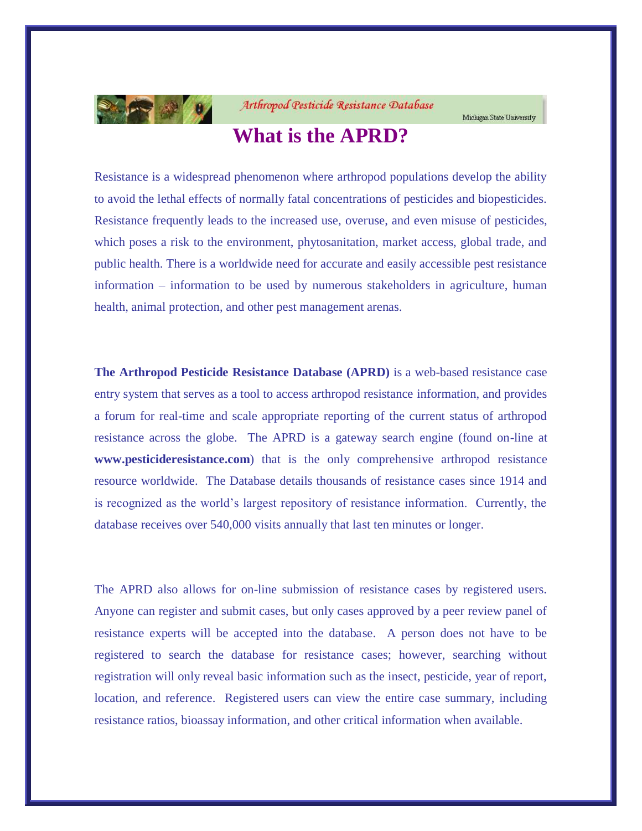

Arthropod Pesticide Resistance Database

# **What is the APRD?**

Resistance is a widespread phenomenon where arthropod populations develop the ability to avoid the lethal effects of normally fatal concentrations of pesticides and biopesticides. Resistance frequently leads to the increased use, overuse, and even misuse of pesticides, which poses a risk to the environment, phytosanitation, market access, global trade, and public health. There is a worldwide need for accurate and easily accessible pest resistance information – information to be used by numerous stakeholders in agriculture, human health, animal protection, and other pest management arenas.

**The Arthropod Pesticide Resistance Database (APRD)** is a web-based resistance case entry system that serves as a tool to access arthropod resistance information, and provides a forum for real-time and scale appropriate reporting of the current status of arthropod resistance across the globe. The APRD is a gateway search engine (found on-line at **www.pesticideresistance.com**) that is the only comprehensive arthropod resistance resource worldwide. The Database details thousands of resistance cases since 1914 and is recognized as the world's largest repository of resistance information. Currently, the database receives over 540,000 visits annually that last ten minutes or longer.

The APRD also allows for on-line submission of resistance cases by registered users. Anyone can register and submit cases, but only cases approved by a peer review panel of resistance experts will be accepted into the database. A person does not have to be registered to search the database for resistance cases; however, searching without registration will only reveal basic information such as the insect, pesticide, year of report, location, and reference. Registered users can view the entire case summary, including resistance ratios, bioassay information, and other critical information when available.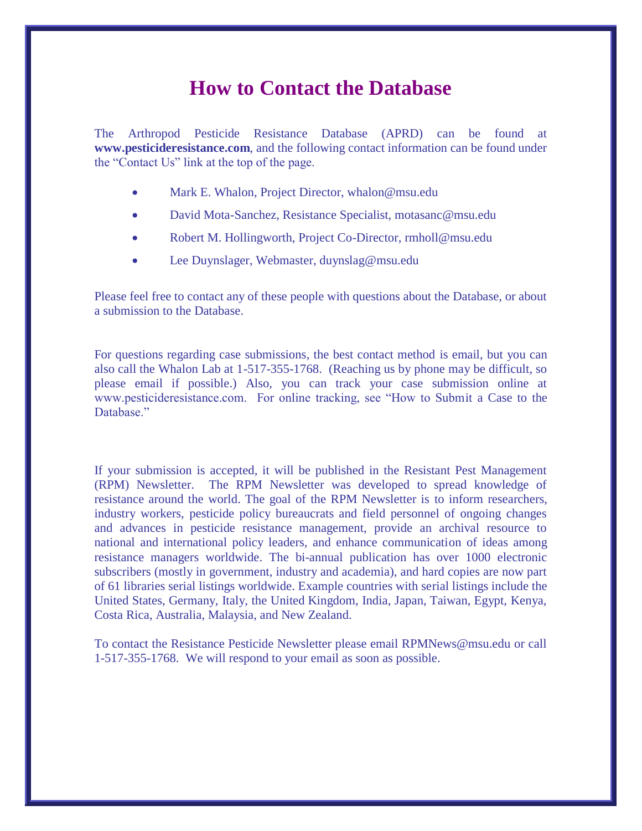## **How to Contact the Database**

The Arthropod Pesticide Resistance Database (APRD) can be found at **www.pesticideresistance.com**, and the following contact information can be found under the "Contact Us" link at the top of the page.

- Mark E. Whalon, Project Director, whalon@msu.edu
- David Mota-Sanchez, Resistance Specialist, motasanc@msu.edu
- Robert M. Hollingworth, Project Co-Director, rmholl@msu.edu
- Lee Duynslager, Webmaster, duynslag@msu.edu

Please feel free to contact any of these people with questions about the Database, or about a submission to the Database.

For questions regarding case submissions, the best contact method is email, but you can also call the Whalon Lab at 1-517-355-1768. (Reaching us by phone may be difficult, so please email if possible.) Also, you can track your case submission online at www.pesticideresistance.com. For online tracking, see "How to Submit a Case to the Database"

If your submission is accepted, it will be published in the Resistant Pest Management (RPM) Newsletter. The RPM Newsletter was developed to spread knowledge of resistance around the world. The goal of the RPM Newsletter is to inform researchers, industry workers, pesticide policy bureaucrats and field personnel of ongoing changes and advances in pesticide resistance management, provide an archival resource to national and international policy leaders, and enhance communication of ideas among resistance managers worldwide. The bi-annual publication has over 1000 electronic subscribers (mostly in government, industry and academia), and hard copies are now part of 61 libraries serial listings worldwide. Example countries with serial listings include the United States, Germany, Italy, the United Kingdom, India, Japan, Taiwan, Egypt, Kenya, Costa Rica, Australia, Malaysia, and New Zealand.

To contact the Resistance Pesticide Newsletter please email RPMNews@msu.edu or call 1-517-355-1768. We will respond to your email as soon as possible.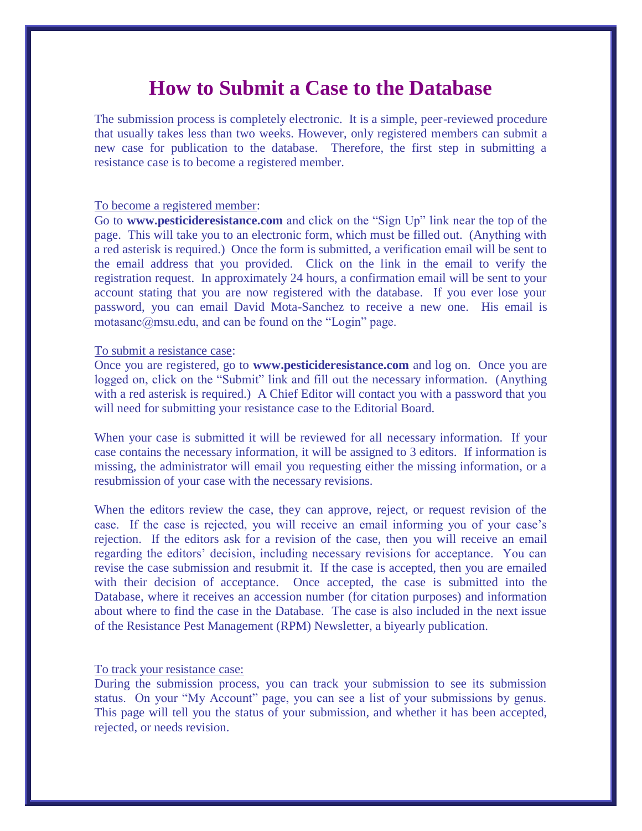## **How to Submit a Case to the Database**

The submission process is completely electronic. It is a simple, peer-reviewed procedure that usually takes less than two weeks. However, only registered members can submit a new case for publication to the database. Therefore, the first step in submitting a resistance case is to become a registered member.

#### To become a registered member:

Go to **www.pesticideresistance.com** and click on the "Sign Up" link near the top of the page. This will take you to an electronic form, which must be filled out. (Anything with a red asterisk is required.) Once the form is submitted, a verification email will be sent to the email address that you provided. Click on the link in the email to verify the registration request. In approximately 24 hours, a confirmation email will be sent to your account stating that you are now registered with the database. If you ever lose your password, you can email David Mota-Sanchez to receive a new one. His email is motasanc@msu.edu, and can be found on the "Login" page.

#### To submit a resistance case:

Once you are registered, go to **www.pesticideresistance.com** and log on. Once you are logged on, click on the "Submit" link and fill out the necessary information. (Anything with a red asterisk is required.) A Chief Editor will contact you with a password that you will need for submitting your resistance case to the Editorial Board.

When your case is submitted it will be reviewed for all necessary information. If your case contains the necessary information, it will be assigned to 3 editors. If information is missing, the administrator will email you requesting either the missing information, or a resubmission of your case with the necessary revisions.

When the editors review the case, they can approve, reject, or request revision of the case. If the case is rejected, you will receive an email informing you of your case's rejection. If the editors ask for a revision of the case, then you will receive an email regarding the editors' decision, including necessary revisions for acceptance. You can revise the case submission and resubmit it. If the case is accepted, then you are emailed with their decision of acceptance. Once accepted, the case is submitted into the Database, where it receives an accession number (for citation purposes) and information about where to find the case in the Database. The case is also included in the next issue of the Resistance Pest Management (RPM) Newsletter, a biyearly publication.

#### To track your resistance case:

During the submission process, you can track your submission to see its submission status. On your "My Account" page, you can see a list of your submissions by genus. This page will tell you the status of your submission, and whether it has been accepted, rejected, or needs revision.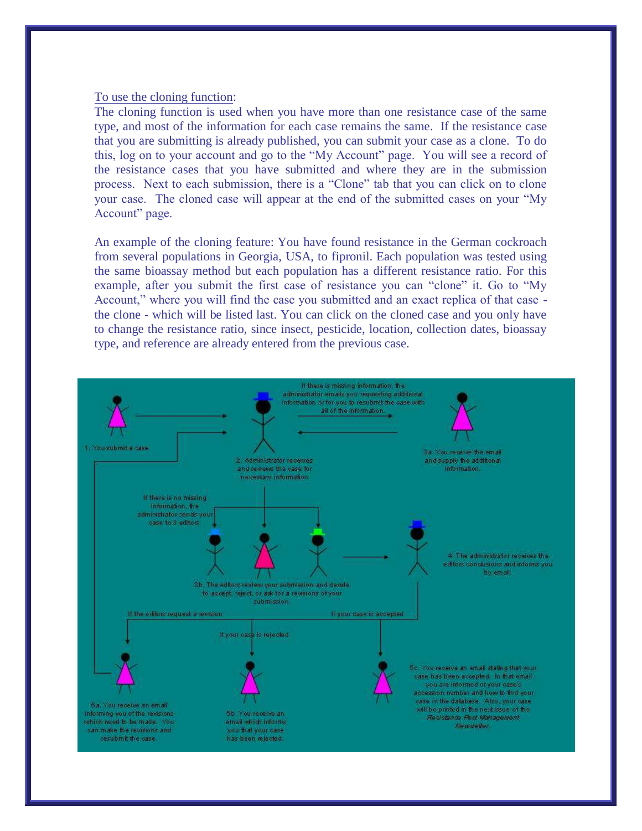#### To use the cloning function:

The cloning function is used when you have more than one resistance case of the same type, and most of the information for each case remains the same. If the resistance case that you are submitting is already published, you can submit your case as a clone. To do this, log on to your account and go to the "My Account" page. You will see a record of the resistance cases that you have submitted and where they are in the submission process. Next to each submission, there is a "Clone" tab that you can click on to clone your case. The cloned case will appear at the end of the submitted cases on your "My Account" page.

An example of the cloning feature: You have found resistance in the German cockroach from several populations in Georgia, USA, to fipronil. Each population was tested using the same bioassay method but each population has a different resistance ratio. For this example, after you submit the first case of resistance you can "clone" it. Go to "My Account," where you will find the case you submitted and an exact replica of that case the clone - which will be listed last. You can click on the cloned case and you only have to change the resistance ratio, since insect, pesticide, location, collection dates, bioassay type, and reference are already entered from the previous case.

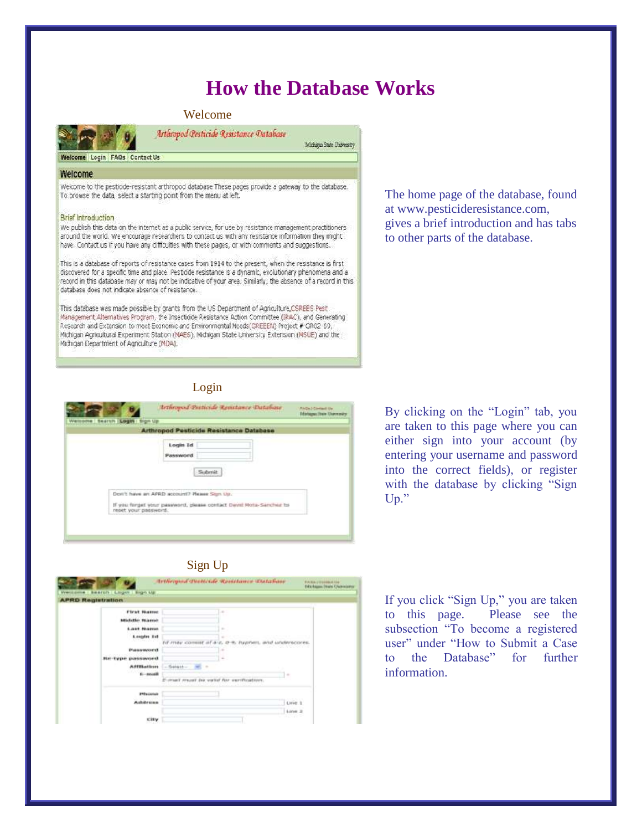# **How the Database Works**

#### Welcome



Arthropod Pesticide Resistance Database Michigan State University

Welcome Login FAOs Contact Us

#### Welcome

Welcome to the pesticide-resistant arthropod database These pages provide a gateway to the database. To browse the data, select a starting point from the menu at left.

#### **Brief Introduction**

We publish this data on the internet as a public service, for use by resistance management practitioners around the world. We encourage researchers to contact us with any resistance information they might have. Contact us if you have any difficulties with these pages, or with comments and suggestions.

This is a database of reports of resistance cases from 1914 to the present, when the resistance is first discovered for a specific time and place. Pesticide resistance is a dynamic, evolutionary phenomena and a record in this database may or may not be indicative of your area. Similarly, the absence of a record in this database does not indicate absence of resistance.

This database was made possible by grants from the US Department of Agriculture, CSREES Pest Management Alternatives Program, the Insecticide Resistance Action Committee (IRAC), and Generating Research and Extension to meet Economic and Environmental Needs(GREEEN) Project # GR02-69, Michigan Agricultural Experiment Station (MAES), Michigan State University Extension (MSUE) and the Michigan Department of Agriculture (MDA).

### Login



By clicking on the "Login" tab, you are taken to this page where you can either sign into your account (by entering your username and password into the correct fields), or register with the database by clicking "Sign Up."

### Sign Up



If you click "Sign Up," you are taken to this page. Please see the subsection "To become a registered user" under "How to Submit a Case to the Database" for further information.

The home page of the database, found at www.pesticideresistance.com, gives a brief introduction and has tabs to other parts of the database.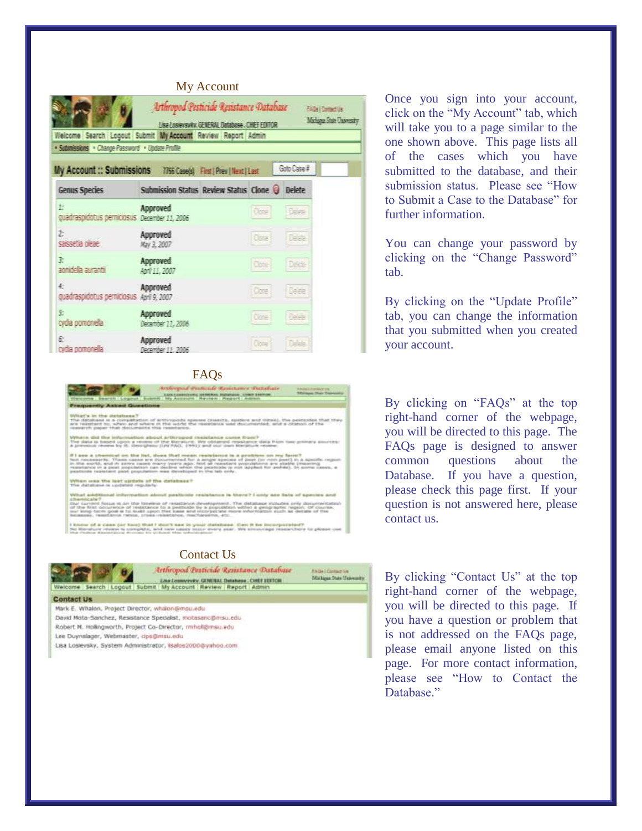### My Account



FAQs



Contact Us



Once you sign into your account, click on the "My Account" tab, which will take you to a page similar to the one shown above. This page lists all of the cases which you have submitted to the database, and their submission status. Please see "How to Submit a Case to the Database" for further information.

You can change your password by clicking on the "Change Password" tab.

By clicking on the "Update Profile" tab, you can change the information that you submitted when you created your account.

By clicking on "FAQs" at the top right -hand corner of the webpage, you will be directed to this page. The FAQs page is designed to answer common questions about the Database. If you have a question, please check this page first. If your question is not answered here, please contact us.

By clicking "Contact Us" at the top right -hand corner of the webpage, you will be directed to this page. If you have a question or problem that is not addressed on the FAQs page, please email anyone listed on this page. For more contact information, please see "How to Contact the Database"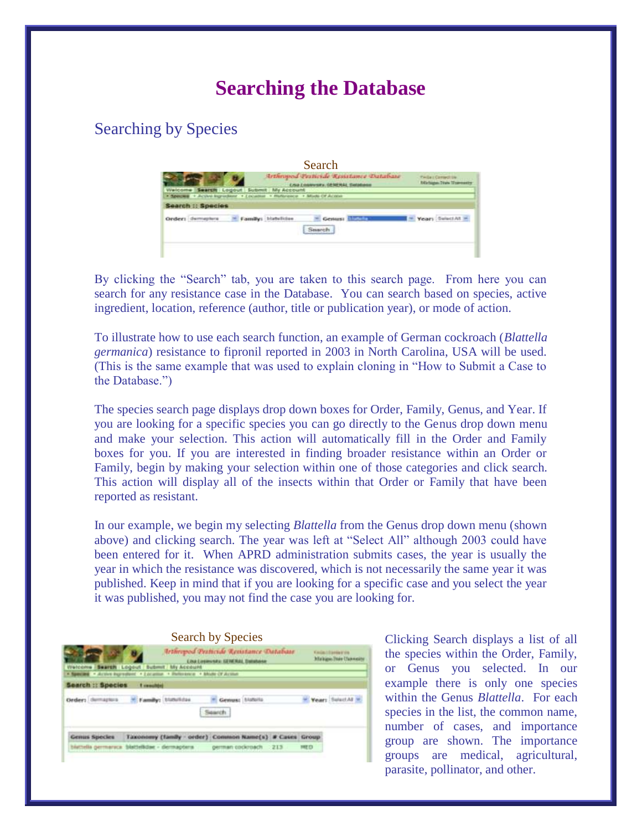# **Searching the Database**

## Searching by Species

| Search                                                                                                                |                                                    |
|-----------------------------------------------------------------------------------------------------------------------|----------------------------------------------------|
| Arthropod Pesticide Resistance Database<br><b>Crisis Conferente, Généralia, Dat</b>                                   | <b>THUAL Cornect UV</b><br>Madagas Traw Travenetty |
| Search Logout Submit My Account<br>Welcome<br>* Resume * Julian Ingradient * Location * Multicates * Missio Of Access |                                                    |
| rch :: Species<br><b>Thomas</b> ha                                                                                    |                                                    |
|                                                                                                                       |                                                    |
|                                                                                                                       |                                                    |

By clicking the "Search" tab, you are taken to this search page. From here you can search for any resistance case in the Database. You can search based on species, active ingredient, location, reference (author, title or publication year), or mode of action.

To illustrate how to use each search function, an example of German cockroach (*Blattella germanica*) resistance to fipronil reported in 2003 in North Carolina, USA will be used. (This is the same example that was used to explain cloning in "How to Submit a Case to the Database.")

The species search page displays drop down boxes for Order, Family, Genus, and Year. If you are looking for a specific species you can go directly to the Genus drop down menu and make your selection. This action will automatically fill in the Order and Family boxes for you. If you are interested in finding broader resistance within an Order or Family, begin by making your selection within one of those categories and click search. This action will display all of the insects within that Order or Family that have been reported as resistant.

In our example, we begin my selecting *Blattella* from the Genus drop down menu (shown above) and clicking search. The year was left at "Select All" although 2003 could have been entered for it. When APRD administration submits cases, the year is usually the year in which the resistance was discovered, which is not necessarily the same year it was published. Keep in mind that if you are looking for a specific case and you select the year it was published, you may not find the case you are looking for.



Clicking Search displays a list of all the species within the Order, Family, or Genus you selected. In our example there is only one species within the Genus *Blattella*. For each species in the list, the common name, number of cases, and importance group are shown. The importance groups are medical, agricultural, parasite, pollinator, and other.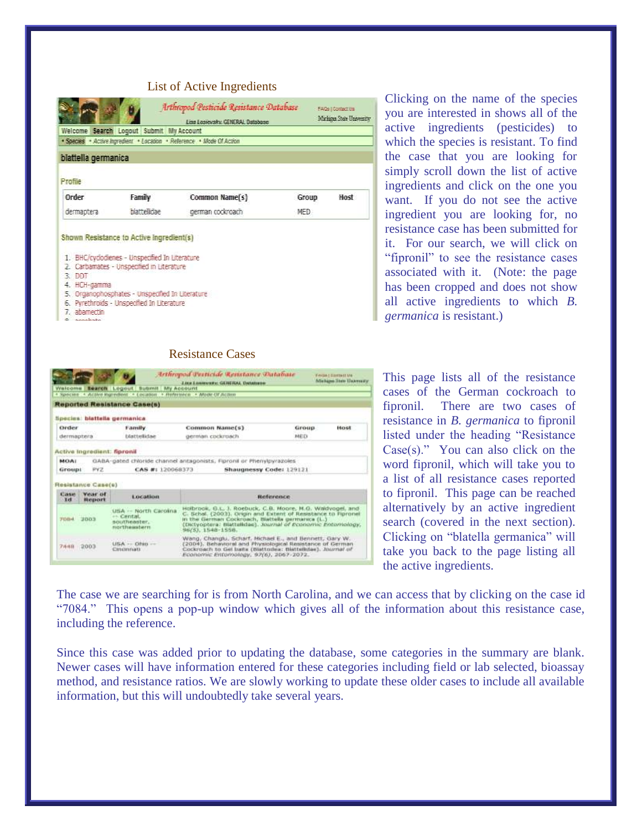### List of Active Ingredients

|                       |                                                                                                                                                                                              | Arthropod Pesticide Resistance Database<br>Lisa Losievsky, GENERAL Database |       | FAGe   Contact Us<br>Michaea State University |
|-----------------------|----------------------------------------------------------------------------------------------------------------------------------------------------------------------------------------------|-----------------------------------------------------------------------------|-------|-----------------------------------------------|
|                       | Welcome Search Logout Submit My Account                                                                                                                                                      |                                                                             |       |                                               |
|                       |                                                                                                                                                                                              | · Species · Active Ingredient · Location · Reference · Mode Of Action       |       |                                               |
| blattella germanica   |                                                                                                                                                                                              |                                                                             |       |                                               |
| Profile               |                                                                                                                                                                                              |                                                                             |       |                                               |
|                       |                                                                                                                                                                                              |                                                                             |       | Host                                          |
| Order                 | Family                                                                                                                                                                                       | Common Name(s)                                                              | Group |                                               |
| dermaptera            | <b>blattellidae</b><br>Shown Resistance to Active Ingredient(s)                                                                                                                              | german cockroach                                                            | MED.  |                                               |
| 3.001<br>4. HCH-gamma | 1. BHC/cyclodienes - Unspecified In Literature<br>2. Carbamates - Unspecified in Literature<br>5. Organophosphates - Unspecified In Literature<br>6. Pyrethroids - Unspecified In Literature |                                                                             |       |                                               |

Clicking on the name of the species you are interested in shows all of the active ingredients (pesticides) to which the species is resistant. To find the case that you are looking for simply scroll down the list of active ingredients and click on the one you want. If you do not see the active ingredient you are looking for, no resistance case has been submitted for it. For our search, we will click on "fipronil" to see the resistance cases associated with it. (Note: the page has been cropped and does not show all active ingredients to which *B. germanica* is resistant.)

This page lists all of the resistance cases of the German cockroach to fipronil. There are two cases of resistance in *B. germanica* to fipronil listed under the heading "Resistance  $Case(s)$ ." You can also click on the word fipronil, which will take you to a list of all resistance cases reported to fipronil. This page can be reached alternatively by an active ingredient search (covered in the next section). Clicking on "blatella germanica" will take you back to the page listing all the active ingredients.

The case we are searching for is from North Carolina, and we can access that by clicking on the case id "7084." This opens a pop-up window which gives all of the information about this resistance case, including the reference.

**FAGATELEMENT** 

Since this case was added prior to updating the database, some categories in the summary are blank. Newer cases will have information entered for these categories including field or lab selected, bioassay method, and resistance ratios. We are slowly working to update these older cases to include all available information, but this will undoubtedly take several years.

#### Resistance Cases

Arthropoid Perticide Resistance Database

**CONFIDENTIAL CONFIDENTIAL** 

|                       |                             |                                                                                                                          | <b>LIKE LIMMANNA: GERERAL DAMAINER</b>                                                                                                                                                                                                                             |       | Adachapen Henri Hawwess av |
|-----------------------|-----------------------------|--------------------------------------------------------------------------------------------------------------------------|--------------------------------------------------------------------------------------------------------------------------------------------------------------------------------------------------------------------------------------------------------------------|-------|----------------------------|
|                       |                             | Welcome <b>Bearch</b> Logout Bubmit My Account<br>+ Species + Active legredited + Location + Heferwice + Alode Of Action |                                                                                                                                                                                                                                                                    |       |                            |
|                       |                             | <b>Reported Resistance Case(s)</b>                                                                                       |                                                                                                                                                                                                                                                                    |       |                            |
|                       |                             | Species: blattella germanica.                                                                                            |                                                                                                                                                                                                                                                                    |       |                            |
| Order                 |                             | Family                                                                                                                   | Common Name(s)                                                                                                                                                                                                                                                     | Group | Host                       |
| dermaptera            |                             | <b>Utattellidae</b>                                                                                                      | german cockroach                                                                                                                                                                                                                                                   | MED   |                            |
|                       | Active Ingredient: fipronil |                                                                                                                          |                                                                                                                                                                                                                                                                    |       |                            |
| MOAT<br>Group:        | PY2                         | CAS #: 120068373                                                                                                         | GABA-gated chloride channel antagonists. Fipronil or Phenylpyrazoles<br>Shaugnessy Code: 129121                                                                                                                                                                    |       |                            |
|                       | Resistance Case(e)          |                                                                                                                          |                                                                                                                                                                                                                                                                    |       |                            |
| <b>Classe</b><br>Tel: | Vesse of<br>Report          | Location                                                                                                                 | <b>Reference</b>                                                                                                                                                                                                                                                   |       |                            |
| <b>FDB4</b>           | 3003                        | USA -- North Carolina<br>es. Centat.<br>moutheweber.<br>northeastern                                                     | Holbrook, G.L. J. Roebuck, C.B. Moore, M.G. Waldvogel, and<br>C. Schal. (2003). Ongin and Extent of Resistance to Figronel<br>in the German Cockroach, Blattella germanca (L.)<br>(Dictyoptera: Blattelldae), Journal of Economic Enterhology,<br>96(5) 1548-1558. |       |                            |
| 7448 2003             |                             | $UBA \rightarrow Ohu -$<br>Cinonnati                                                                                     | Wang, Changiu, Schart, Michael E., and Bennett, Gary W.<br>(2004). Behavioral and Physiological Resistance of German<br>Cockroach to Gel batts (Blattodeia: Blattellstae), Journal of<br>Economic Entomology, 97(6), 2067-2072.                                    |       |                            |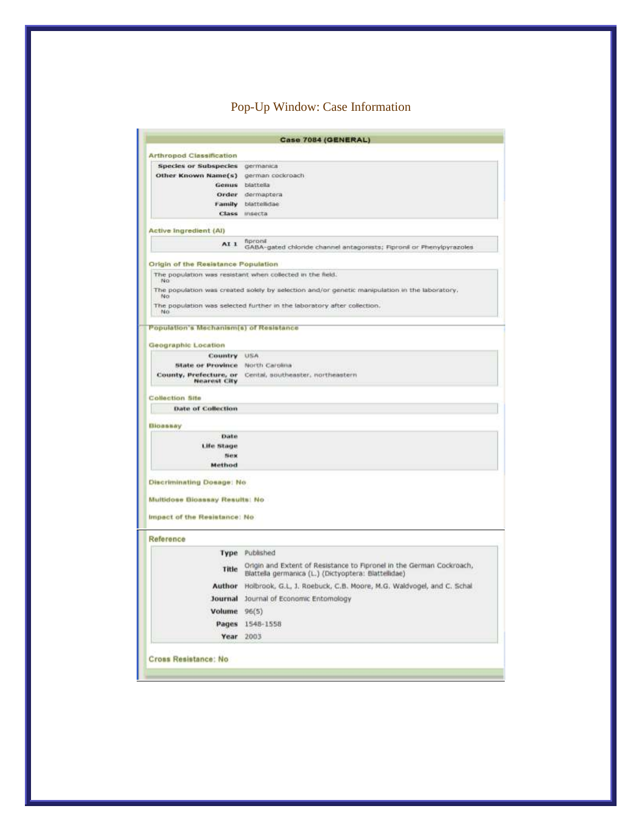## Pop-Up Window: Case Information

|                                                | Case 7084 (GENERAL)                                                                                                          |
|------------------------------------------------|------------------------------------------------------------------------------------------------------------------------------|
| <b>Arthropod Classification</b>                |                                                                                                                              |
| <b>Species or Subspecies</b>                   | germanica                                                                                                                    |
| Other Known Name(s)                            | german cockroach                                                                                                             |
| Genus                                          | blattella                                                                                                                    |
|                                                | Order dermaptera                                                                                                             |
| Family                                         | blattellidae                                                                                                                 |
| <b>Class</b>                                   | msecta                                                                                                                       |
| Active Ingredient (AI)                         |                                                                                                                              |
| AI <sub>1</sub>                                | fipronil<br>GABA-gated chloride channel antagonists; Fipronil or Phenylpyrazoles                                             |
| Origin of the Resistance Population            |                                                                                                                              |
| No.                                            | The population was resistant when collected in the field.                                                                    |
| No                                             | The population was created solely by selection and/or genetic manipulation in the laboratory.                                |
| No                                             | The population was selected further in the laboratory after collection,                                                      |
| <b>Population's Mechanism(s) of Resistance</b> |                                                                                                                              |
| Geographic Location                            |                                                                                                                              |
| Country                                        | 划版内                                                                                                                          |
| <b>State or Province</b>                       | North Carolina                                                                                                               |
| County, Prefecture, or<br>Nearest City         | Cental, southeaster, northeastern                                                                                            |
| Collection Site                                |                                                                                                                              |
| <b>Date of Collection</b>                      |                                                                                                                              |
|                                                |                                                                                                                              |
| Bloassay                                       |                                                                                                                              |
| Date                                           |                                                                                                                              |
| Life Stage                                     |                                                                                                                              |
| <b>Sierse</b>                                  |                                                                                                                              |
| Method                                         |                                                                                                                              |
| <b>Discriminating Dosage: No.</b>              |                                                                                                                              |
|                                                |                                                                                                                              |
| Multidose Bioassay Results: No.                |                                                                                                                              |
| Impact of the Resistance: No                   |                                                                                                                              |
| Reference                                      |                                                                                                                              |
| Type                                           | Published                                                                                                                    |
| Title                                          | Origin and Extent of Resistance to Fipronel in the German Cockroach,<br>Blattella germanica (L.) (Dictyoptera: Blattellidae) |
| Author                                         | Holbrook, G.L. J. Roebuck, C.B. Moore, M.G. Waldvogel, and C. Schal                                                          |
|                                                | Journal of Economic Entomology                                                                                               |
| Journal                                        | 96(5)                                                                                                                        |
|                                                |                                                                                                                              |
| Volume                                         |                                                                                                                              |
| Pages<br>Year                                  | 1548-1558<br>2003                                                                                                            |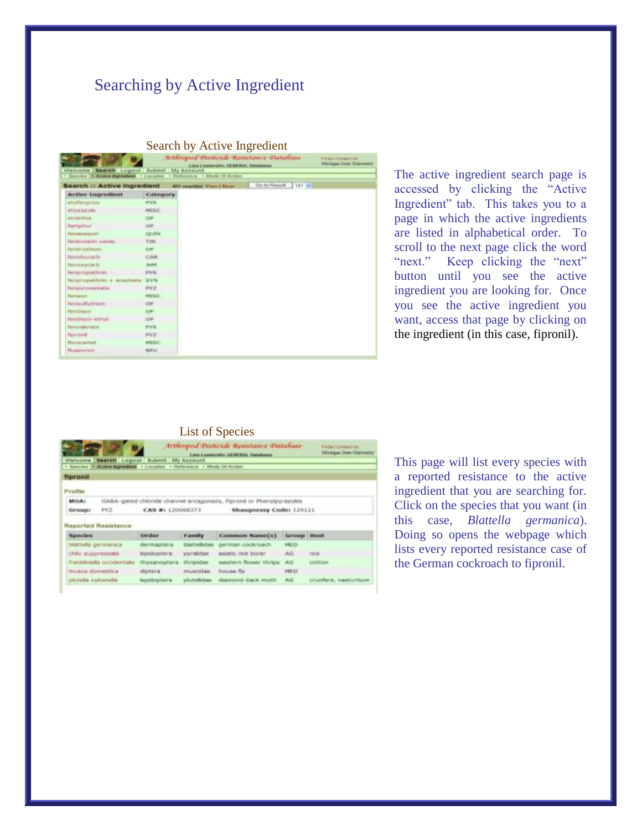### Searching by Active Ingredient

| <b>Bearen Logout Submit his Account</b><br>Washington 3<br>4 Sluindra stereo |                 | <b>Irthogood Petticide Remitance Database</b><br><b><i>Line Lossecate, GENERAL Datamane</i></b><br>· Attace margement . Literature . Hyderatics . Abody Of Action | 9 Adapt Allerman Villag<br>Markizma (Hate Ukalmasette) |
|------------------------------------------------------------------------------|-----------------|-------------------------------------------------------------------------------------------------------------------------------------------------------------------|--------------------------------------------------------|
| Search 11 Active Ingredient                                                  |                 | Go to Finnell 121 w 3<br>401 remobile) Then I Hazel                                                                                                               |                                                        |
| Active Tequentiesit                                                          | <b>Colegory</b> |                                                                                                                                                                   |                                                        |
| articellampiriolac                                                           | <b>HVH</b>      |                                                                                                                                                                   |                                                        |
| <b>STORAZINE</b>                                                             | <b>HISC</b>     |                                                                                                                                                                   |                                                        |
| <b>ATTYPITION</b>                                                            | Oil             |                                                                                                                                                                   |                                                        |
| <b>Biempils</b> ian                                                          | <b>CMP</b>      |                                                                                                                                                                   |                                                        |
| <b><i><u>Remaresquire</u></i></b>                                            | QUITN           |                                                                                                                                                                   |                                                        |
| Ferdrotates conde                                                            | TIN             |                                                                                                                                                                   |                                                        |
| femminations                                                                 | down.           |                                                                                                                                                                   |                                                        |
| <b>RenoteGolarity</b>                                                        | CAN             |                                                                                                                                                                   |                                                        |
| femali vivitariti                                                            | 31494           |                                                                                                                                                                   |                                                        |
| fenpropathrity                                                               | $8 - 44$        |                                                                                                                                                                   |                                                        |
| fenancipathnis + aciphete                                                    | <b>SIVIV</b>    |                                                                                                                                                                   |                                                        |
| <b>Terranyvopermane</b>                                                      | <b>HV2</b>      |                                                                                                                                                                   |                                                        |
| Ferrescots                                                                   | <b>MITEC</b>    |                                                                                                                                                                   |                                                        |
| Revised Follows                                                              | O#              |                                                                                                                                                                   |                                                        |
| <b>TEHRINGER</b>                                                             | <b>UP</b>       |                                                                                                                                                                   |                                                        |
| femmion-ethyl                                                                | O#              |                                                                                                                                                                   |                                                        |
| <b>Berryalershe</b>                                                          | arvist.         |                                                                                                                                                                   |                                                        |
| <b>Figurisherul</b>                                                          | <b>IVZ</b>      |                                                                                                                                                                   |                                                        |
| <b>Bilmournut</b>                                                            | MISC            |                                                                                                                                                                   |                                                        |
| Подрогов                                                                     | <b>HIPLE</b>    |                                                                                                                                                                   |                                                        |

The active ingredient search page is accessed by clicking the "Active Ingredient" tab. This takes you to a page in which the active ingredients are listed in alphabetical order. To scroll to the next page click the word "next." Keep clicking the "next" button until you see the active ingredient you are looking for. Once you see the active ingredient you want, access that page by clicking on the ingredient (in this case, fipronil).

### List of Species

| Watcoma                |                           | ТP<br><b>Search Logout Gubmit My Account</b>                               |                   | Arthropod Pesticide Arsistance Database<br>Lies Longweste, GENERAL Outstand |                    | <b>FAGe I Director Us</b><br><b>Isfarician Trans Clairments</b> |
|------------------------|---------------------------|----------------------------------------------------------------------------|-------------------|-----------------------------------------------------------------------------|--------------------|-----------------------------------------------------------------|
|                        |                           | - Species (California Augustus) - Locanton - Hufernitze - Aftein Of August |                   |                                                                             |                    |                                                                 |
| <b>fipronil</b>        |                           |                                                                            |                   |                                                                             |                    |                                                                 |
| Profile                |                           |                                                                            |                   |                                                                             |                    |                                                                 |
| MOAI                   |                           |                                                                            |                   | GABA-gated chlonde channel antagonists, Figrond or Phenylpyrazoles          |                    |                                                                 |
| Groups                 | PYZ.                      | CAS #1 120068373                                                           |                   | Shaugnessy Code: 129121                                                     |                    |                                                                 |
|                        | Reported Resistance:      |                                                                            |                   |                                                                             |                    |                                                                 |
| <b>Species</b>         |                           | Order                                                                      | <b>Family</b>     | Common Name(s)                                                              | <b>Siroup Host</b> |                                                                 |
| binttella germanica    |                           | dermapbeca                                                                 | blatterädae       | german cockroach                                                            | MED                |                                                                 |
| chile mappressale.     |                           | <b>Higastophera</b>                                                        | pyralidae         | <b>ASMIC TIDE DOTE!</b>                                                     | AG.                | me                                                              |
|                        | franklinella occidentalic | thysanoptera                                                               | <b>EDITOROLER</b> | existern flower thrips.                                                     | <b>AVGE</b>        | cotton                                                          |
| musca domatica         |                           | diptera -                                                                  | muscidae          | <b>NOUAN Ry</b>                                                             | NELS:              |                                                                 |
| plistella sylisetella. |                           | lepsdophera.                                                               | plutellicher      | diamond-back moth.                                                          | AAG.               | спасиботы, такоштыем                                            |

This page will list every species with a reported resistance to the active ingredient that you are searching for. Click on the species that you want (in this case, *Blattella germanica*). Doing so opens the webpage which lists every reported resistance case of the German cockroach to fipronil.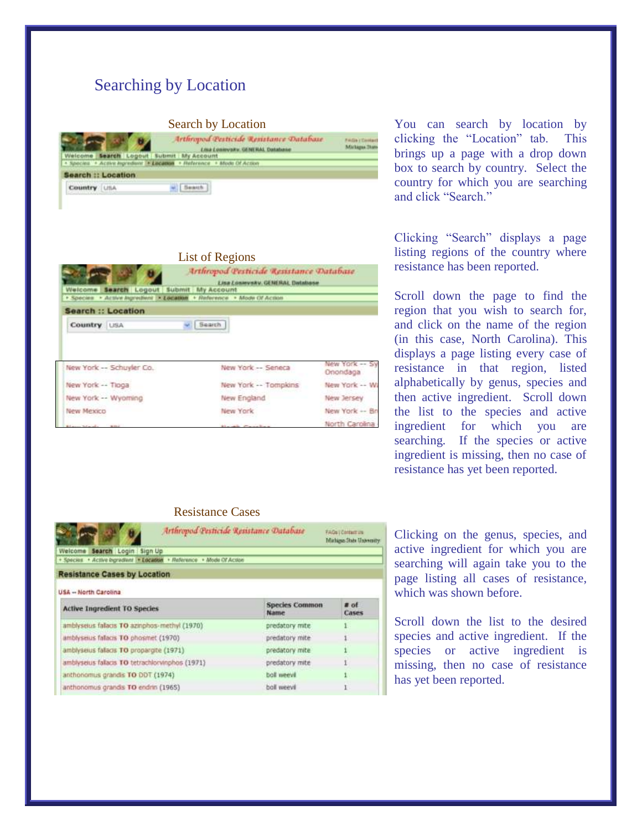### Searching by Location

#### Search by Location



| Search Logout Submit My Account<br>Welcome               | Arthropod Pesticide Resistance Database<br>Lisa Losevsky, GENERAL Database |                            |
|----------------------------------------------------------|----------------------------------------------------------------------------|----------------------------|
| + Species                                                | - Active Ingressions > Location + Reference + Mode Of Action               |                            |
| <b>Search :: Location</b>                                |                                                                            |                            |
| Country USA                                              | Search                                                                     |                            |
| New York -- Schuyler Co.                                 | New York -- Seneca                                                         | New York -- Sy<br>Onondaga |
| New York -- Tioga                                        | New York -- Tompkins                                                       | New York -- W              |
| New York -- Wyoming                                      | New England                                                                | New Jersey                 |
| New Mexico                                               | New York                                                                   | New York -- Br             |
| the company that we will be a stronger of the company of | the country of the country of the coun-                                    | North Carolina             |

You can search by location by clicking the "Location" tab. This brings up a page with a drop down box to search by country. Select the country for which you are searching and click "Search."

Clicking "Search" displays a page listing regions of the country where resistance has been reported.

Scroll down the page to find the region that you wish to search for, and click on the name of the region (in this case, North Carolina). This displays a page listing every case of resistance in that region, listed alphabetically by genus, species and then active ingredient. Scroll down the list to the species and active ingredient for which you are searching. If the species or active ingredient is missing, then no case of resistance has yet been reported.

#### Resistance Cases

| Arthropod Pesticide Resistance Database                               |                               | <b>FAGs (Contact us)</b><br>Michigan State University |
|-----------------------------------------------------------------------|-------------------------------|-------------------------------------------------------|
| Search Login Sign Up<br>Welcome                                       |                               |                                                       |
| · Species · Active bigradiunt · Location · Reference · Mode Of Action |                               |                                                       |
| <b>Resistance Cases by Location</b>                                   |                               |                                                       |
| USA -- North Carolina                                                 |                               |                                                       |
| <b>Active Ingredient TO Species</b>                                   | <b>Species Common</b><br>Name | $#$ of<br>Cases                                       |
| amblysetus falacis TO azinghos-methyl (1970)                          | predatory mite                |                                                       |
| amblyseius falacis TO phosmet (1970)                                  | predatory mite                |                                                       |
| amblyseius falacis TO propargite (1971)                               | predatory mite                |                                                       |
| amblyselus fallacis TO tetrachlorvinphos (1971)                       | predatory mite                |                                                       |
| anthonomus grandis TO DDT (1974)                                      | boll weevil                   |                                                       |
| anthonomus grandis TO endrin (1965)                                   | boll weevil                   |                                                       |

Clicking on the genus, species, and active ingredient for which you are searching will again take you to the page listing all cases of resistance, which was shown before.

Scroll down the list to the desired species and active ingredient. If the species or active ingredient is missing, then no case of resistance has yet been reported.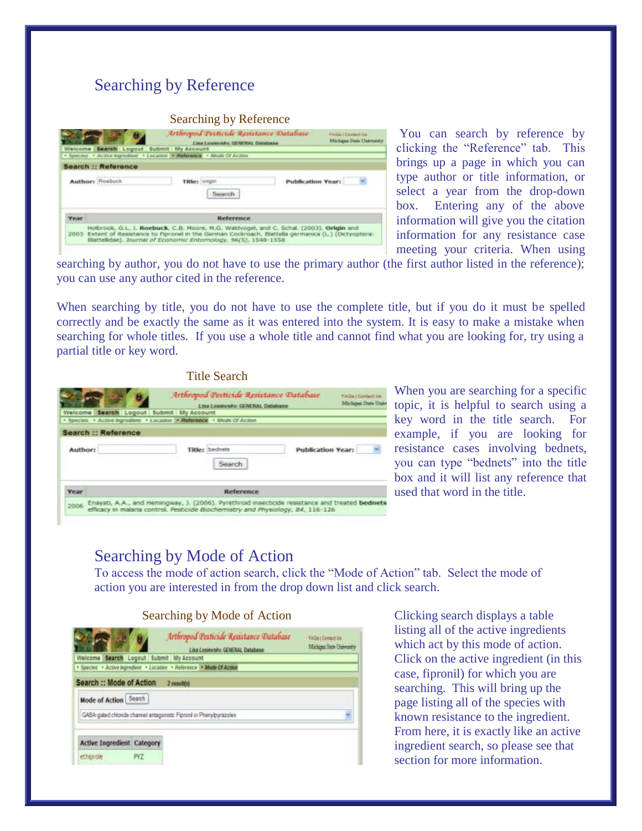## Searching by Reference

#### Searching by Reference

| Welcome [   |                            | Arthropod Pesticide Resistance Database<br><b>Eng Enswerky, GENERAL Detabane.</b><br>Search Logout Submit My Account                                                                                                                                           |                          | FAGA! Cortect Un-<br><b>Michaus State Unavenuely</b> |
|-------------|----------------------------|----------------------------------------------------------------------------------------------------------------------------------------------------------------------------------------------------------------------------------------------------------------|--------------------------|------------------------------------------------------|
|             |                            | * Species . Active highesters . Location . Paterwice . Mode Of Active                                                                                                                                                                                          |                          |                                                      |
|             | <b>Search :: Reference</b> |                                                                                                                                                                                                                                                                |                          |                                                      |
|             | Author: Roobuck            | Titles: drigit                                                                                                                                                                                                                                                 | <b>Publication Year:</b> |                                                      |
| <b>Year</b> |                            | Reference                                                                                                                                                                                                                                                      |                          |                                                      |
| T003        |                            | Holbrook, G.L. J. Roebuck, C.B. Moore, M.G. Waldvogel, and C. Schal. (2003). Origin and<br>Extent of Resistance to Fipronel in the German Cockroach, Blattella germanica (L.) (Dictyopteral<br>Blattellidae). Journal of Economic Entomology. 96(5), 1548-1558 |                          |                                                      |

You can search by reference by clicking the "Reference" tab. This brings up a page in which you can type author or title information, or select a year from the drop-down box. Entering any of the above information will give you the citation information for any resistance case meeting your criteria. When using

searching by author, you do not have to use the primary author (the first author listed in the reference); you can use any author cited in the reference.

When searching by title, you do not have to use the complete title, but if you do it must be spelled correctly and be exactly the same as it was entered into the system. It is easy to make a mistake when searching for whole titles. If you use a whole title and cannot find what you are looking for, try using a partial title or key word.



When you are searching for a specific topic, it is helpful to search using a key word in the title search. For example, if you are looking for resistance cases involving bednets, you can type "bednets" into the title box and it will list any reference that used that word in the title.

### Searching by Mode of Action

To access the mode of action search, click the "Mode of Action" tab. Select the mode of action you are interested in from the drop down list and click search.

#### Searching by Mode of Action

|                                                   |     | Arthropod Pesticide Resistance Database<br>Lisa Losievsky, GRIFRAL Database | <b>FACe   Certactule</b><br>Minhigan State University |
|---------------------------------------------------|-----|-----------------------------------------------------------------------------|-------------------------------------------------------|
| Welcome Search Logout Submit My Account           |     |                                                                             |                                                       |
|                                                   |     | · Species · Active Ingredient · Location · Reference · Mode Of Action       |                                                       |
| Search :: Mode of Action<br>Mode of Action Search |     | 2 results                                                                   |                                                       |
|                                                   |     | GASA-gated chloride channel antagonists: Fipronil or Phenylpyrazoles        |                                                       |
| <b>Active Ingredient Category</b>                 |     |                                                                             |                                                       |
| etherole                                          | PYZ |                                                                             |                                                       |

Clicking search displays a table listing all of the active ingredients which act by this mode of action. Click on the active ingredient (in this case, fipronil) for which you are searching. This will bring up the page listing all of the species with known resistance to the ingredient. From here, it is exactly like an active ingredient search, so please see that section for more information.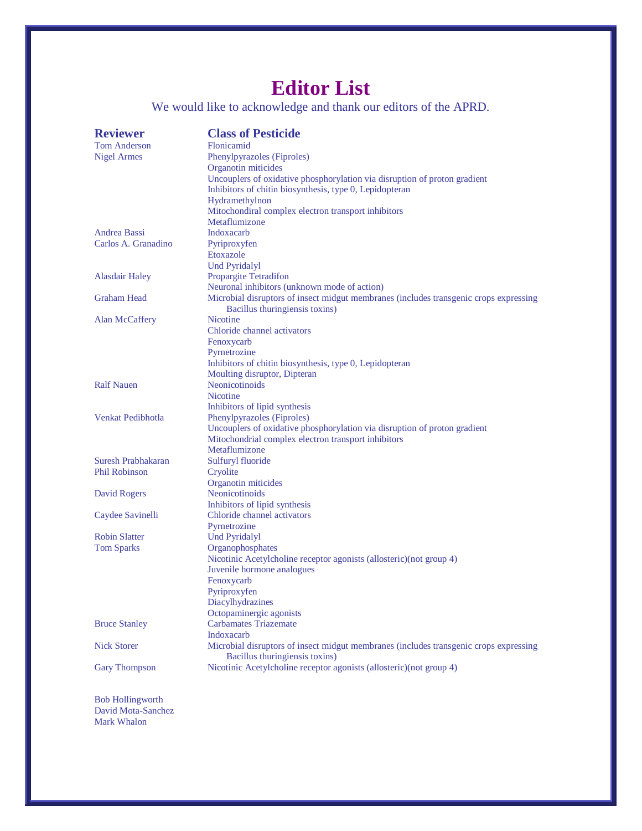# **Editor List**

We would like to acknowledge and thank our editors of the APRD.

| <b>Reviewer</b>         | <b>Class of Pesticide</b>                                                             |
|-------------------------|---------------------------------------------------------------------------------------|
| <b>Tom Anderson</b>     | Flonicamid                                                                            |
| <b>Nigel Armes</b>      | Phenylpyrazoles (Fiproles)                                                            |
|                         | Organotin miticides                                                                   |
|                         | Uncouplers of oxidative phosphorylation via disruption of proton gradient             |
|                         | Inhibitors of chitin biosynthesis, type 0, Lepidopteran                               |
|                         | Hydramethylnon                                                                        |
|                         | Mitochondiral complex electron transport inhibitors                                   |
|                         | Metaflumizone                                                                         |
| Andrea Bassi            | Indoxacarb                                                                            |
| Carlos A. Granadino     | Pyriproxyfen                                                                          |
|                         | Etoxazole                                                                             |
|                         | <b>Und Pyridalyl</b>                                                                  |
| <b>Alasdair Haley</b>   | <b>Propargite Tetradifon</b>                                                          |
|                         | Neuronal inhibitors (unknown mode of action)                                          |
| <b>Graham Head</b>      | Microbial disruptors of insect midgut membranes (includes transgenic crops expressing |
|                         | Bacillus thuringiensis toxins)                                                        |
| Alan McCaffery          | <b>Nicotine</b>                                                                       |
|                         | Chloride channel activators                                                           |
|                         | Fenoxycarb                                                                            |
|                         | Pyrnetrozine                                                                          |
|                         | Inhibitors of chitin biosynthesis, type 0, Lepidopteran                               |
|                         | Moulting disruptor, Dipteran                                                          |
| <b>Ralf Nauen</b>       | <b>Neonicotinoids</b>                                                                 |
|                         | <b>Nicotine</b>                                                                       |
|                         | Inhibitors of lipid synthesis                                                         |
| Venkat Pedibhotla       | Phenylpyrazoles (Fiproles)                                                            |
|                         | Uncouplers of oxidative phosphorylation via disruption of proton gradient             |
|                         | Mitochondrial complex electron transport inhibitors                                   |
|                         | Metaflumizone                                                                         |
| Suresh Prabhakaran      | Sulfuryl fluoride                                                                     |
| <b>Phil Robinson</b>    | Cryolite                                                                              |
|                         | Organotin miticides                                                                   |
| David Rogers            | Neonicotinoids                                                                        |
|                         | Inhibitors of lipid synthesis                                                         |
| Caydee Savinelli        | Chloride channel activators                                                           |
| <b>Robin Slatter</b>    | Pyrnetrozine                                                                          |
|                         | <b>Und Pyridalyl</b><br>Organophosphates                                              |
| <b>Tom Sparks</b>       |                                                                                       |
|                         | Nicotinic Acetylcholine receptor agonists (allosteric)(not group 4)                   |
|                         | Juvenile hormone analogues<br>Fenoxycarb                                              |
|                         | Pyriproxyfen                                                                          |
|                         | Diacylhydrazines                                                                      |
|                         | Octopaminergic agonists                                                               |
| <b>Bruce Stanley</b>    | <b>Carbamates Triazemate</b>                                                          |
|                         | Indoxacarb                                                                            |
| <b>Nick Storer</b>      | Microbial disruptors of insect midgut membranes (includes transgenic crops expressing |
|                         | Bacillus thuringiensis toxins)                                                        |
| <b>Gary Thompson</b>    | Nicotinic Acetylcholine receptor agonists (allosteric)(not group 4)                   |
|                         |                                                                                       |
|                         |                                                                                       |
| <b>Bob Hollingworth</b> |                                                                                       |

Bob Hollingworth David Mota-Sanchez Mark Whalon